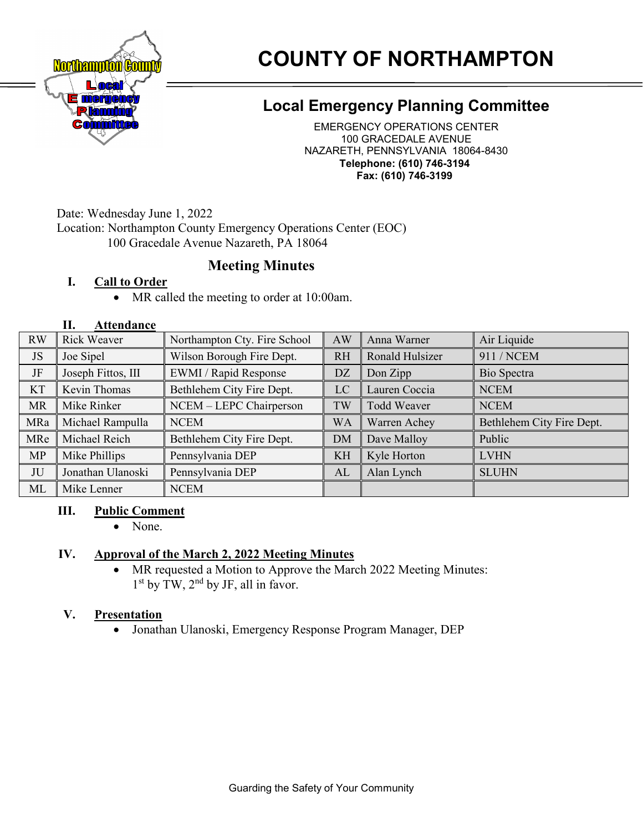

# **COUNTY OF NORTHAMPTON**

# **Local Emergency Planning Committee**

EMERGENCY OPERATIONS CENTER 100 GRACEDALE AVENUE NAZARETH, PENNSYLVANIA 18064-8430 **Telephone: (610) 746-3194 Fax: (610) 746-3199**

Date: Wednesday June 1, 2022

Location: Northampton County Emergency Operations Center (EOC)

100 Gracedale Avenue Nazareth, PA 18064

# **Meeting Minutes**

# **I. Call to Order**

• MR called the meeting to order at 10:00am.

#### **II. Attendance**

| <b>RW</b> | <b>Rick Weaver</b> | Northampton Cty. Fire School | AW        | Anna Warner        | Air Liquide               |
|-----------|--------------------|------------------------------|-----------|--------------------|---------------------------|
| <b>JS</b> | Joe Sipel          | Wilson Borough Fire Dept.    | <b>RH</b> | Ronald Hulsizer    | 911 / NCEM                |
| JF        | Joseph Fittos, III | EWMI / Rapid Response        | <b>DZ</b> | Don Zipp           | Bio Spectra               |
| <b>KT</b> | Kevin Thomas       | Bethlehem City Fire Dept.    | LC        | Lauren Coccia      | <b>NCEM</b>               |
| <b>MR</b> | Mike Rinker        | NCEM - LEPC Chairperson      | TW        | <b>Todd Weaver</b> | <b>NCEM</b>               |
| MRa       | Michael Rampulla   | <b>NCEM</b>                  | <b>WA</b> | Warren Achey       | Bethlehem City Fire Dept. |
| MRe       | Michael Reich      | Bethlehem City Fire Dept.    | <b>DM</b> | Dave Malloy        | Public                    |
|           |                    |                              |           |                    |                           |
| <b>MP</b> | Mike Phillips      | Pennsylvania DEP             | KH        | Kyle Horton        | <b>LVHN</b>               |
| JU        | Jonathan Ulanoski  | Pennsylvania DEP             | AL        | Alan Lynch         | <b>SLUHN</b>              |

#### **III. Public Comment**

• None.

# **IV. Approval of the March 2, 2022 Meeting Minutes**

• MR requested a Motion to Approve the March 2022 Meeting Minutes:  $1<sup>st</sup>$  by TW,  $2<sup>nd</sup>$  by JF, all in favor.

# **V. Presentation**

• Jonathan Ulanoski, Emergency Response Program Manager, DEP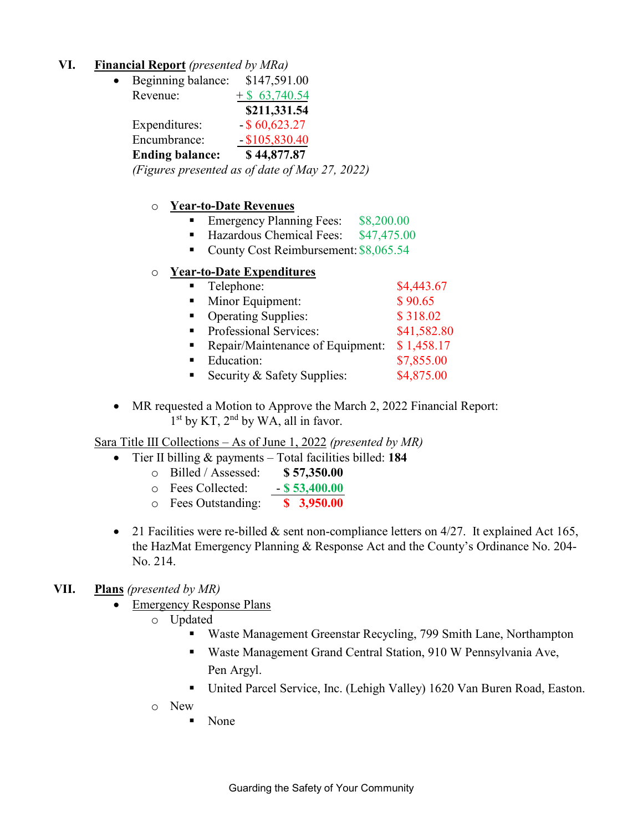#### **VI. Financial Report** *(presented by MRa)*

| $\bullet$ | Beginning balance:     | \$147,591.00                                   |
|-----------|------------------------|------------------------------------------------|
|           | Revenue:               | $+$ \$ 63,740.54                               |
|           |                        | \$211,331.54                                   |
|           | Expenditures:          | $-$ \$60,623.27                                |
|           | Encumbrance:           | $-$ \$105,830.40                               |
|           | <b>Ending balance:</b> | \$44,877.87                                    |
|           |                        | (Figures presented as of date of May 27, 2022) |

## o **Year-to-Date Revenues**

- Emergency Planning Fees: \$8,200.00
- Hazardous Chemical Fees: \$47,475.00
- County Cost Reimbursement: \$8,065.54

#### o **Year-to-Date Expenditures**

| Telephone:                       | \$4,443.67  |
|----------------------------------|-------------|
| Minor Equipment:                 | \$90.65     |
| <b>Operating Supplies:</b>       | \$318.02    |
| Professional Services:           | \$41,582.80 |
| Repair/Maintenance of Equipment: | \$1,458.17  |
| Education:                       | \$7,855.00  |
| Security & Safety Supplies:      | \$4,875.00  |

• MR requested a Motion to Approve the March 2, 2022 Financial Report: 1<sup>st</sup> by KT, 2<sup>nd</sup> by WA, all in favor.

Sara Title III Collections – As of June 1, 2022 *(presented by MR)*

- Tier II billing & payments Total facilities billed: **184**
	- o Billed / Assessed: **\$ 57,350.00**
	- o Fees Collected: **\$ 53,400.00**
	- o Fees Outstanding: **\$ 3,950.00**
- 21 Facilities were re-billed & sent non-compliance letters on 4/27. It explained Act 165, the HazMat Emergency Planning & Response Act and the County's Ordinance No. 204- No. 214.

#### **VII. Plans** *(presented by MR)*

- Emergency Response Plans
	- o Updated
		- Waste Management Greenstar Recycling, 799 Smith Lane, Northampton
		- Waste Management Grand Central Station, 910 W Pennsylvania Ave, Pen Argyl.
		- United Parcel Service, Inc. (Lehigh Valley) 1620 Van Buren Road, Easton.
	- o New
		- None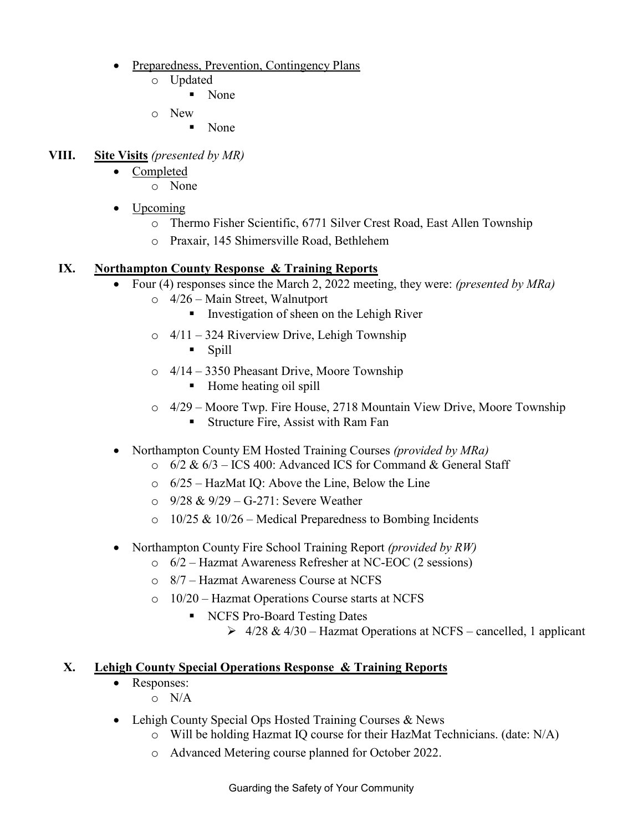- Preparedness, Prevention, Contingency Plans
	- o Updated
		- None
	- o New
		- None

## **VIII. Site Visits** *(presented by MR)*

- Completed
	- o None
- Upcoming
	- o Thermo Fisher Scientific, 6771 Silver Crest Road, East Allen Township
- o Praxair, 145 Shimersville Road, Bethlehem

## **IX. Northampton County Response & Training Reports**

- Four (4) responses since the March 2, 2022 meeting, they were: *(presented by MRa)*
	- o 4/26 Main Street, Walnutport
		- **IDED** Investigation of sheen on the Lehigh River
	- o 4/11 324 Riverview Drive, Lehigh Township
		- Spill
	- o 4/14 3350 Pheasant Drive, Moore Township
		- Home heating oil spill
	- $\circ$  4/29 Moore Twp. Fire House, 2718 Mountain View Drive, Moore Township
		- **Structure Fire, Assist with Ram Fan**
- Northampton County EM Hosted Training Courses *(provided by MRa)*
	- $\circ$  6/2 & 6/3 ICS 400: Advanced ICS for Command & General Staff
	- o 6/25 HazMat IQ: Above the Line, Below the Line
	- o 9/28 & 9/29 G-271: Severe Weather
	- $\circ$  10/25 & 10/26 Medical Preparedness to Bombing Incidents
- Northampton County Fire School Training Report *(provided by RW)*
	- o 6/2 Hazmat Awareness Refresher at NC-EOC (2 sessions)
	- o 8/7 Hazmat Awareness Course at NCFS
	- o 10/20 Hazmat Operations Course starts at NCFS
		- NCFS Pro-Board Testing Dates
			- $\geq 4/28 \& 4/30$  Hazmat Operations at NCFS cancelled, 1 applicant

# **X. Lehigh County Special Operations Response & Training Reports**

- Responses:
	- o N/A
- Lehigh County Special Ops Hosted Training Courses & News
	- o Will be holding Hazmat IQ course for their HazMat Technicians. (date: N/A)
	- o Advanced Metering course planned for October 2022.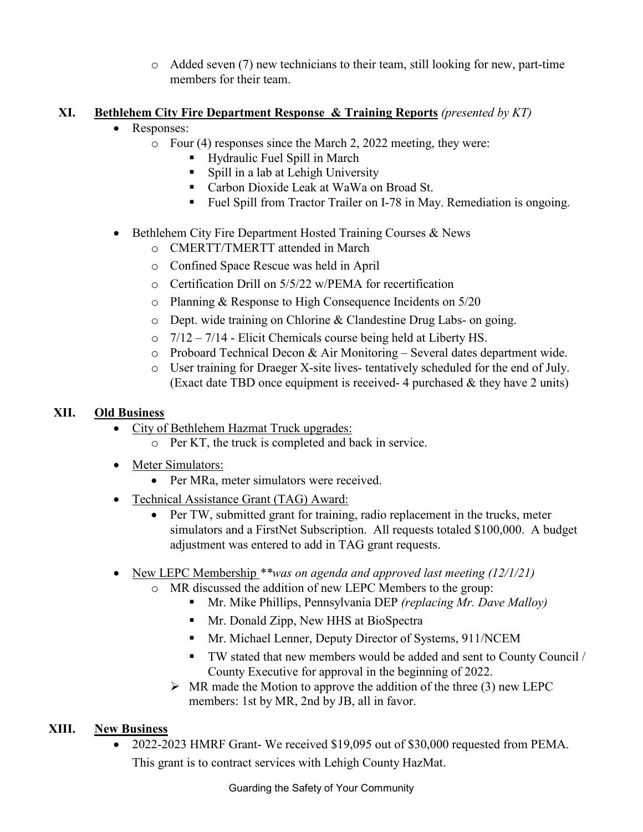$\circ$  Added seven (7) new technicians to their team, still looking for new, part-time members for their team.

# **XI. Bethlehem City Fire Department Response & Training Reports** *(presented by KT)*

- Responses:
	- o Four (4) responses since the March 2, 2022 meeting, they were:
		- Hydraulic Fuel Spill in March
		- Spill in a lab at Lehigh University
		- Carbon Dioxide Leak at WaWa on Broad St.
		- Fuel Spill from Tractor Trailer on I-78 in May. Remediation is ongoing.
- Bethlehem City Fire Department Hosted Training Courses & News
	- o CMERTT/TMERTT attended in March
	- o Confined Space Rescue was held in April
	- o Certification Drill on 5/5/22 w/PEMA for recertification
	- o Planning & Response to High Consequence Incidents on 5/20
	- o Dept. wide training on Chlorine & Clandestine Drug Labs- on going.
	- $\circ$  7/12 7/14 Elicit Chemicals course being held at Liberty HS.
	- o Proboard Technical Decon & Air Monitoring Several dates department wide.
	- o User training for Draeger X-site lives- tentatively scheduled for the end of July. (Exact date TBD once equipment is received-4 purchased  $\&$  they have 2 units)

# **XII. Old Business**

- City of Bethlehem Hazmat Truck upgrades:
	- o Per KT, the truck is completed and back in service.
- Meter Simulators:
	- Per MRa, meter simulators were received.
- Technical Assistance Grant (TAG) Award:
	- Per TW, submitted grant for training, radio replacement in the trucks, meter simulators and a FirstNet Subscription. All requests totaled \$100,000. A budget adjustment was entered to add in TAG grant requests.
- New LEPC Membership *\*\*was on agenda and approved last meeting (12/1/21)*
	- o MR discussed the addition of new LEPC Members to the group:
		- Mr. Mike Phillips, Pennsylvania DEP *(replacing Mr. Dave Malloy)*
		- **Mr. Donald Zipp, New HHS at BioSpectra**
		- **Mr. Michael Lenner, Deputy Director of Systems, 911/NCEM**
		- TW stated that new members would be added and sent to County Council / County Executive for approval in the beginning of 2022.
		- $\triangleright$  MR made the Motion to approve the addition of the three (3) new LEPC members: 1st by MR, 2nd by JB, all in favor.

# **XIII. New Business**

• 2022-2023 HMRF Grant- We received \$19,095 out of \$30,000 requested from PEMA. This grant is to contract services with Lehigh County HazMat.